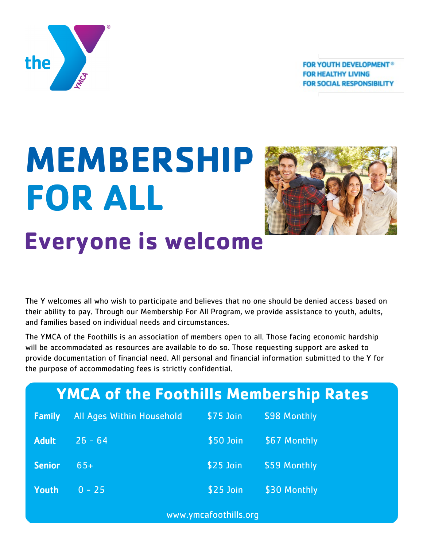**FOR YOUTH DEVELOPMENT® FOR HEALTHY LIVING FOR SOCIAL RESPONSIBILITY** 



# **MEMBERSHIP FOR ALL Everyone is welcome**



The Y welcomes all who wish to participate and believes that no one should be denied access based on their ability to pay. Through our Membership For All Program, we provide assistance to youth, adults, and families based on individual needs and circumstances.

The YMCA of the Foothills is an association of members open to all. Those facing economic hardship will be accommodated as resources are available to do so. Those requesting support are asked to provide documentation of financial need. All personal and financial information submitted to the Y for the purpose of accommodating fees is strictly confidential.

| <b>YMCA of the Foothills Membership Rates</b> |                           |            |              |  |
|-----------------------------------------------|---------------------------|------------|--------------|--|
| <b>Family</b>                                 | All Ages Within Household | $$75$ Join | \$98 Monthly |  |
| <b>Adult</b>                                  | $26 - 64$                 | \$50 Join  | \$67 Monthly |  |
| <b>Senior</b>                                 | $65+$                     | $$25$ Join | \$59 Monthly |  |
| <b>Youth</b>                                  | $0 - 25$                  | \$25 Join  | \$30 Monthly |  |
| www.ymcafoothills.org                         |                           |            |              |  |